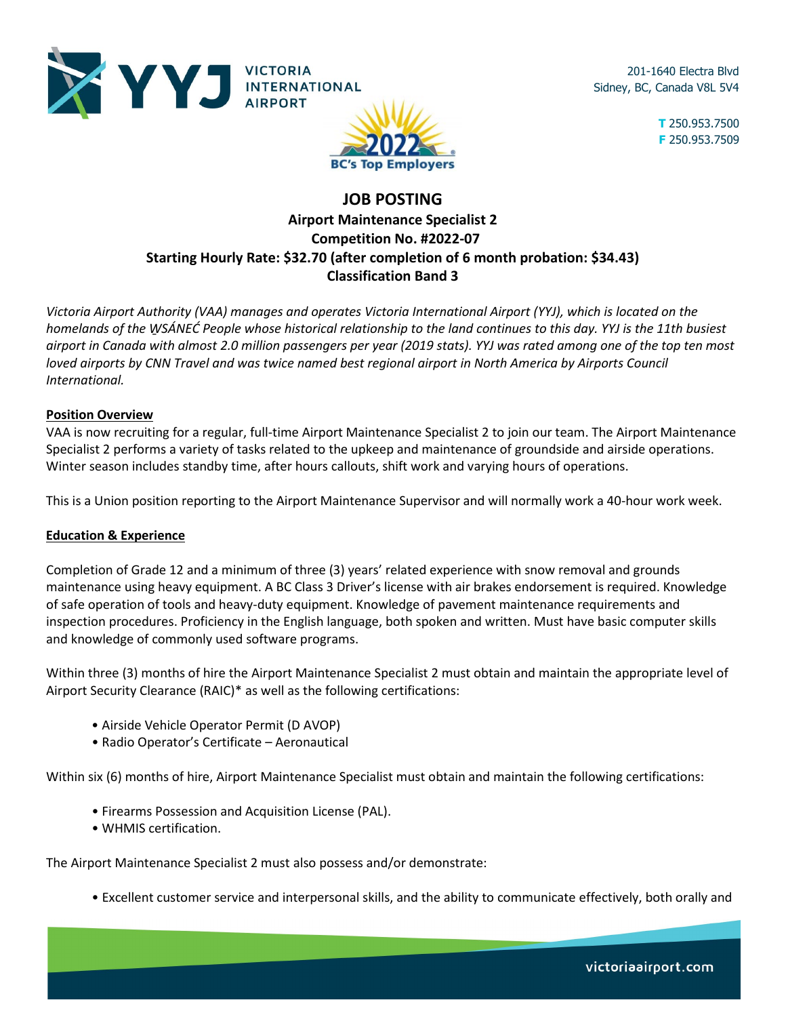

201-1640 Electra Blvd Sidney, BC, Canada V8L 5V4

> **T** 250.953.7500 **F** 250.953.7509

# **JOB POSTING Airport Maintenance Specialist 2 Competition No. #2022-07 Starting Hourly Rate: \$32.70 (after completion of 6 month probation: \$34.43) Classification Band 3**

**BC's Top Employers** 

*Victoria Airport Authority (VAA) manages and operates Victoria International Airport (YYJ), which is located on the homelands of the W̱SÁNEĆ People whose historical relationship to the land continues to this day. YYJ is the 11th busiest airport in Canada with almost 2.0 million passengers per year (2019 stats). YYJ was rated among one of the top ten most loved airports by CNN Travel and was twice named best regional airport in North America by Airports Council International.* 

## **Position Overview**

VAA is now recruiting for a regular, full-time Airport Maintenance Specialist 2 to join our team. The Airport Maintenance Specialist 2 performs a variety of tasks related to the upkeep and maintenance of groundside and airside operations. Winter season includes standby time, after hours callouts, shift work and varying hours of operations.

This is a Union position reporting to the Airport Maintenance Supervisor and will normally work a 40-hour work week.

## **Education & Experience**

Completion of Grade 12 and a minimum of three (3) years' related experience with snow removal and grounds maintenance using heavy equipment. A BC Class 3 Driver's license with air brakes endorsement is required. Knowledge of safe operation of tools and heavy-duty equipment. Knowledge of pavement maintenance requirements and inspection procedures. Proficiency in the English language, both spoken and written. Must have basic computer skills and knowledge of commonly used software programs.

Within three (3) months of hire the Airport Maintenance Specialist 2 must obtain and maintain the appropriate level of Airport Security Clearance (RAIC)\* as well as the following certifications:

- Airside Vehicle Operator Permit (D AVOP)
- Radio Operator's Certificate Aeronautical

Within six (6) months of hire, Airport Maintenance Specialist must obtain and maintain the following certifications:

- Firearms Possession and Acquisition License (PAL).
- WHMIS certification.

The Airport Maintenance Specialist 2 must also possess and/or demonstrate:

• Excellent customer service and interpersonal skills, and the ability to communicate effectively, both orally and